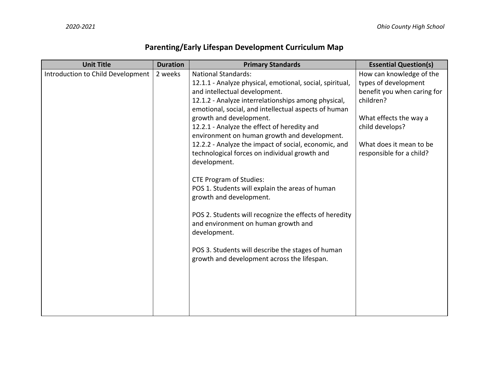## **Parenting/Early Lifespan Development Curriculum Map**

| <b>Unit Title</b>                 | <b>Duration</b> | <b>Primary Standards</b>                                                                                                                                                                                                                               | <b>Essential Question(s)</b> |
|-----------------------------------|-----------------|--------------------------------------------------------------------------------------------------------------------------------------------------------------------------------------------------------------------------------------------------------|------------------------------|
| Introduction to Child Development | 2 weeks         | <b>National Standards:</b>                                                                                                                                                                                                                             | How can knowledge of the     |
|                                   |                 | 12.1.1 - Analyze physical, emotional, social, spiritual,                                                                                                                                                                                               | types of development         |
|                                   |                 | and intellectual development.                                                                                                                                                                                                                          | benefit you when caring for  |
|                                   |                 | 12.1.2 - Analyze interrelationships among physical,                                                                                                                                                                                                    | children?                    |
|                                   |                 | emotional, social, and intellectual aspects of human                                                                                                                                                                                                   |                              |
|                                   |                 | growth and development.                                                                                                                                                                                                                                | What effects the way a       |
|                                   |                 | 12.2.1 - Analyze the effect of heredity and                                                                                                                                                                                                            | child develops?              |
|                                   |                 | environment on human growth and development.                                                                                                                                                                                                           | What does it mean to be      |
|                                   |                 | 12.2.2 - Analyze the impact of social, economic, and                                                                                                                                                                                                   |                              |
|                                   |                 |                                                                                                                                                                                                                                                        |                              |
|                                   |                 |                                                                                                                                                                                                                                                        |                              |
|                                   |                 |                                                                                                                                                                                                                                                        |                              |
|                                   |                 |                                                                                                                                                                                                                                                        |                              |
|                                   |                 | growth and development.                                                                                                                                                                                                                                |                              |
|                                   |                 |                                                                                                                                                                                                                                                        |                              |
|                                   |                 | POS 2. Students will recognize the effects of heredity                                                                                                                                                                                                 |                              |
|                                   |                 | and environment on human growth and                                                                                                                                                                                                                    |                              |
|                                   |                 | development.                                                                                                                                                                                                                                           |                              |
|                                   |                 |                                                                                                                                                                                                                                                        |                              |
|                                   |                 |                                                                                                                                                                                                                                                        |                              |
|                                   |                 |                                                                                                                                                                                                                                                        |                              |
|                                   |                 |                                                                                                                                                                                                                                                        |                              |
|                                   |                 |                                                                                                                                                                                                                                                        |                              |
|                                   |                 |                                                                                                                                                                                                                                                        |                              |
|                                   |                 |                                                                                                                                                                                                                                                        |                              |
|                                   |                 |                                                                                                                                                                                                                                                        |                              |
|                                   |                 | technological forces on individual growth and<br>development.<br><b>CTE Program of Studies:</b><br>POS 1. Students will explain the areas of human<br>POS 3. Students will describe the stages of human<br>growth and development across the lifespan. | responsible for a child?     |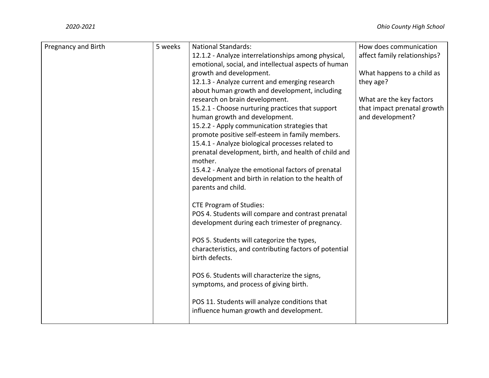| Pregnancy and Birth | 5 weeks | <b>National Standards:</b>                             | How does communication       |
|---------------------|---------|--------------------------------------------------------|------------------------------|
|                     |         | 12.1.2 - Analyze interrelationships among physical,    | affect family relationships? |
|                     |         | emotional, social, and intellectual aspects of human   |                              |
|                     |         | growth and development.                                | What happens to a child as   |
|                     |         | 12.1.3 - Analyze current and emerging research         | they age?                    |
|                     |         | about human growth and development, including          |                              |
|                     |         | research on brain development.                         | What are the key factors     |
|                     |         | 15.2.1 - Choose nurturing practices that support       | that impact prenatal growth  |
|                     |         | human growth and development.                          | and development?             |
|                     |         | 15.2.2 - Apply communication strategies that           |                              |
|                     |         | promote positive self-esteem in family members.        |                              |
|                     |         | 15.4.1 - Analyze biological processes related to       |                              |
|                     |         | prenatal development, birth, and health of child and   |                              |
|                     |         | mother.                                                |                              |
|                     |         | 15.4.2 - Analyze the emotional factors of prenatal     |                              |
|                     |         | development and birth in relation to the health of     |                              |
|                     |         | parents and child.                                     |                              |
|                     |         | <b>CTE Program of Studies:</b>                         |                              |
|                     |         | POS 4. Students will compare and contrast prenatal     |                              |
|                     |         | development during each trimester of pregnancy.        |                              |
|                     |         |                                                        |                              |
|                     |         | POS 5. Students will categorize the types,             |                              |
|                     |         | characteristics, and contributing factors of potential |                              |
|                     |         | birth defects.                                         |                              |
|                     |         |                                                        |                              |
|                     |         | POS 6. Students will characterize the signs,           |                              |
|                     |         | symptoms, and process of giving birth.                 |                              |
|                     |         | POS 11. Students will analyze conditions that          |                              |
|                     |         | influence human growth and development.                |                              |
|                     |         |                                                        |                              |
|                     |         |                                                        |                              |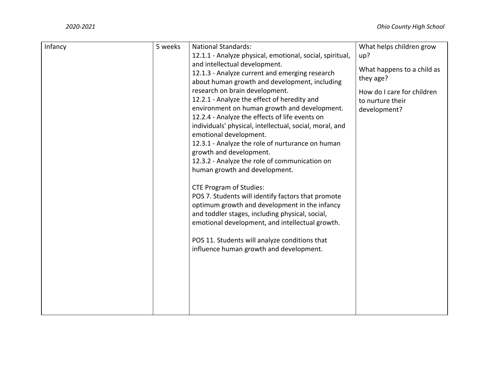| Infancy | 5 weeks | <b>National Standards:</b><br>12.1.1 - Analyze physical, emotional, social, spiritual,<br>and intellectual development.<br>12.1.3 - Analyze current and emerging research<br>about human growth and development, including<br>research on brain development.<br>12.2.1 - Analyze the effect of heredity and<br>environment on human growth and development.<br>12.2.4 - Analyze the effects of life events on<br>individuals' physical, intellectual, social, moral, and<br>emotional development.<br>12.3.1 - Analyze the role of nurturance on human<br>growth and development.<br>12.3.2 - Analyze the role of communication on<br>human growth and development.<br><b>CTE Program of Studies:</b><br>POS 7. Students will identify factors that promote<br>optimum growth and development in the infancy<br>and toddler stages, including physical, social,<br>emotional development, and intellectual growth.<br>POS 11. Students will analyze conditions that<br>influence human growth and development. | What helps children grow<br>up?<br>What happens to a child as<br>they age?<br>How do I care for children<br>to nurture their<br>development? |
|---------|---------|----------------------------------------------------------------------------------------------------------------------------------------------------------------------------------------------------------------------------------------------------------------------------------------------------------------------------------------------------------------------------------------------------------------------------------------------------------------------------------------------------------------------------------------------------------------------------------------------------------------------------------------------------------------------------------------------------------------------------------------------------------------------------------------------------------------------------------------------------------------------------------------------------------------------------------------------------------------------------------------------------------------|----------------------------------------------------------------------------------------------------------------------------------------------|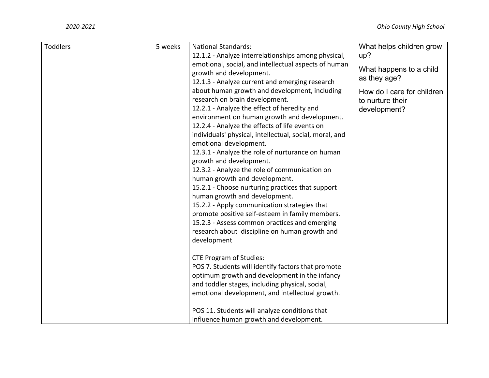| Toddlers | 5 weeks | <b>National Standards:</b><br>12.1.2 - Analyze interrelationships among physical,<br>emotional, social, and intellectual aspects of human<br>growth and development.<br>12.1.3 - Analyze current and emerging research<br>about human growth and development, including                                                                                                                                                                                                                                                                                                                                                                                                                                                                        | What helps children grow<br>up?<br>What happens to a child<br>as they age?<br>How do I care for children |
|----------|---------|------------------------------------------------------------------------------------------------------------------------------------------------------------------------------------------------------------------------------------------------------------------------------------------------------------------------------------------------------------------------------------------------------------------------------------------------------------------------------------------------------------------------------------------------------------------------------------------------------------------------------------------------------------------------------------------------------------------------------------------------|----------------------------------------------------------------------------------------------------------|
|          |         | research on brain development.<br>12.2.1 - Analyze the effect of heredity and<br>environment on human growth and development.<br>12.2.4 - Analyze the effects of life events on<br>individuals' physical, intellectual, social, moral, and<br>emotional development.<br>12.3.1 - Analyze the role of nurturance on human<br>growth and development.<br>12.3.2 - Analyze the role of communication on<br>human growth and development.<br>15.2.1 - Choose nurturing practices that support<br>human growth and development.<br>15.2.2 - Apply communication strategies that<br>promote positive self-esteem in family members.<br>15.2.3 - Assess common practices and emerging<br>research about discipline on human growth and<br>development | to nurture their<br>development?                                                                         |
|          |         | <b>CTE Program of Studies:</b><br>POS 7. Students will identify factors that promote<br>optimum growth and development in the infancy<br>and toddler stages, including physical, social,<br>emotional development, and intellectual growth.<br>POS 11. Students will analyze conditions that<br>influence human growth and development.                                                                                                                                                                                                                                                                                                                                                                                                        |                                                                                                          |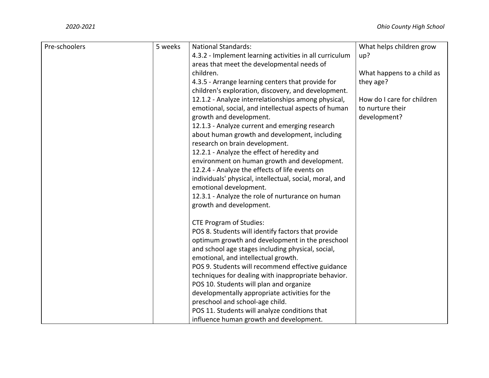| Pre-schoolers | 5 weeks | <b>National Standards:</b>                              | What helps children grow   |
|---------------|---------|---------------------------------------------------------|----------------------------|
|               |         | 4.3.2 - Implement learning activities in all curriculum | up?                        |
|               |         | areas that meet the developmental needs of              |                            |
|               |         | children.                                               | What happens to a child as |
|               |         | 4.3.5 - Arrange learning centers that provide for       | they age?                  |
|               |         | children's exploration, discovery, and development.     |                            |
|               |         | 12.1.2 - Analyze interrelationships among physical,     | How do I care for children |
|               |         | emotional, social, and intellectual aspects of human    | to nurture their           |
|               |         | growth and development.                                 | development?               |
|               |         | 12.1.3 - Analyze current and emerging research          |                            |
|               |         | about human growth and development, including           |                            |
|               |         | research on brain development.                          |                            |
|               |         | 12.2.1 - Analyze the effect of heredity and             |                            |
|               |         | environment on human growth and development.            |                            |
|               |         | 12.2.4 - Analyze the effects of life events on          |                            |
|               |         | individuals' physical, intellectual, social, moral, and |                            |
|               |         | emotional development.                                  |                            |
|               |         | 12.3.1 - Analyze the role of nurturance on human        |                            |
|               |         | growth and development.                                 |                            |
|               |         | <b>CTE Program of Studies:</b>                          |                            |
|               |         | POS 8. Students will identify factors that provide      |                            |
|               |         | optimum growth and development in the preschool         |                            |
|               |         | and school age stages including physical, social,       |                            |
|               |         | emotional, and intellectual growth.                     |                            |
|               |         | POS 9. Students will recommend effective guidance       |                            |
|               |         | techniques for dealing with inappropriate behavior.     |                            |
|               |         | POS 10. Students will plan and organize                 |                            |
|               |         | developmentally appropriate activities for the          |                            |
|               |         | preschool and school-age child.                         |                            |
|               |         | POS 11. Students will analyze conditions that           |                            |
|               |         | influence human growth and development.                 |                            |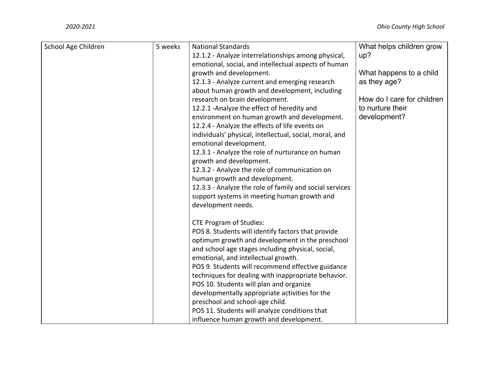| School Age Children | 5 weeks | <b>National Standards</b>                               | What helps children grow   |
|---------------------|---------|---------------------------------------------------------|----------------------------|
|                     |         | 12.1.2 - Analyze interrelationships among physical,     | up?                        |
|                     |         | emotional, social, and intellectual aspects of human    |                            |
|                     |         | growth and development.                                 | What happens to a child    |
|                     |         | 12.1.3 - Analyze current and emerging research          | as they age?               |
|                     |         | about human growth and development, including           |                            |
|                     |         | research on brain development.                          | How do I care for children |
|                     |         | 12.2.1 - Analyze the effect of heredity and             | to nurture their           |
|                     |         | environment on human growth and development.            | development?               |
|                     |         | 12.2.4 - Analyze the effects of life events on          |                            |
|                     |         | individuals' physical, intellectual, social, moral, and |                            |
|                     |         | emotional development.                                  |                            |
|                     |         | 12.3.1 - Analyze the role of nurturance on human        |                            |
|                     |         | growth and development.                                 |                            |
|                     |         | 12.3.2 - Analyze the role of communication on           |                            |
|                     |         | human growth and development.                           |                            |
|                     |         | 12.3.3 - Analyze the role of family and social services |                            |
|                     |         | support systems in meeting human growth and             |                            |
|                     |         | development needs.                                      |                            |
|                     |         | <b>CTE Program of Studies:</b>                          |                            |
|                     |         | POS 8. Students will identify factors that provide      |                            |
|                     |         | optimum growth and development in the preschool         |                            |
|                     |         | and school age stages including physical, social,       |                            |
|                     |         | emotional, and intellectual growth.                     |                            |
|                     |         | POS 9. Students will recommend effective guidance       |                            |
|                     |         | techniques for dealing with inappropriate behavior.     |                            |
|                     |         | POS 10. Students will plan and organize                 |                            |
|                     |         | developmentally appropriate activities for the          |                            |
|                     |         | preschool and school-age child.                         |                            |
|                     |         | POS 11. Students will analyze conditions that           |                            |
|                     |         | influence human growth and development.                 |                            |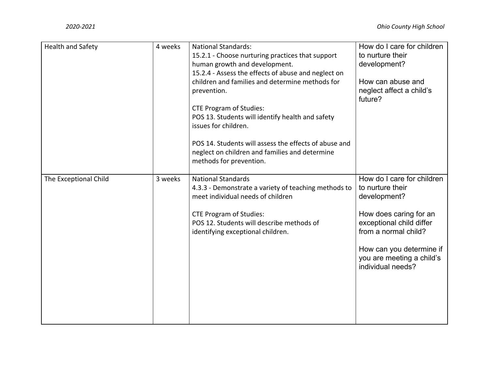| Health and Safety     | 4 weeks | <b>National Standards:</b><br>15.2.1 - Choose nurturing practices that support<br>human growth and development.<br>15.2.4 - Assess the effects of abuse and neglect on<br>children and families and determine methods for<br>prevention.<br><b>CTE Program of Studies:</b><br>POS 13. Students will identify health and safety<br>issues for children.<br>POS 14. Students will assess the effects of abuse and<br>neglect on children and families and determine<br>methods for prevention. | How do I care for children<br>to nurture their<br>development?<br>How can abuse and<br>neglect affect a child's<br>future?                                                                                                 |
|-----------------------|---------|----------------------------------------------------------------------------------------------------------------------------------------------------------------------------------------------------------------------------------------------------------------------------------------------------------------------------------------------------------------------------------------------------------------------------------------------------------------------------------------------|----------------------------------------------------------------------------------------------------------------------------------------------------------------------------------------------------------------------------|
| The Exceptional Child | 3 weeks | <b>National Standards</b><br>4.3.3 - Demonstrate a variety of teaching methods to<br>meet individual needs of children<br><b>CTE Program of Studies:</b><br>POS 12. Students will describe methods of<br>identifying exceptional children.                                                                                                                                                                                                                                                   | How do I care for children<br>to nurture their<br>development?<br>How does caring for an<br>exceptional child differ<br>from a normal child?<br>How can you determine if<br>you are meeting a child's<br>individual needs? |